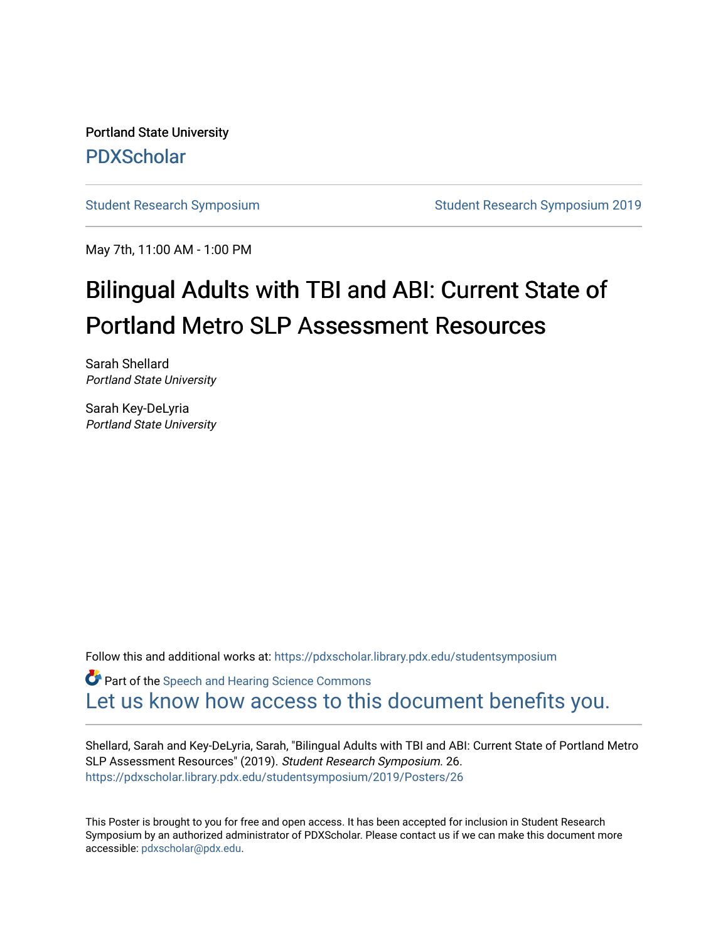Portland State University [PDXScholar](https://pdxscholar.library.pdx.edu/)

[Student Research Symposium](https://pdxscholar.library.pdx.edu/studentsymposium) [Student Research Symposium 2019](https://pdxscholar.library.pdx.edu/studentsymposium/2019) 

May 7th, 11:00 AM - 1:00 PM

### Bilingual Adults with TBI and ABI: Current State of Portland Metro SLP Assessment Resources

Sarah Shellard Portland State University

Sarah Key-DeLyria Portland State University

Follow this and additional works at: [https://pdxscholar.library.pdx.edu/studentsymposium](https://pdxscholar.library.pdx.edu/studentsymposium?utm_source=pdxscholar.library.pdx.edu%2Fstudentsymposium%2F2019%2FPosters%2F26&utm_medium=PDF&utm_campaign=PDFCoverPages) 

**C** Part of the [Speech and Hearing Science Commons](http://network.bepress.com/hgg/discipline/1033?utm_source=pdxscholar.library.pdx.edu%2Fstudentsymposium%2F2019%2FPosters%2F26&utm_medium=PDF&utm_campaign=PDFCoverPages) [Let us know how access to this document benefits you.](http://library.pdx.edu/services/pdxscholar-services/pdxscholar-feedback/) 

Shellard, Sarah and Key-DeLyria, Sarah, "Bilingual Adults with TBI and ABI: Current State of Portland Metro SLP Assessment Resources" (2019). Student Research Symposium. 26. [https://pdxscholar.library.pdx.edu/studentsymposium/2019/Posters/26](https://pdxscholar.library.pdx.edu/studentsymposium/2019/Posters/26?utm_source=pdxscholar.library.pdx.edu%2Fstudentsymposium%2F2019%2FPosters%2F26&utm_medium=PDF&utm_campaign=PDFCoverPages) 

This Poster is brought to you for free and open access. It has been accepted for inclusion in Student Research Symposium by an authorized administrator of PDXScholar. Please contact us if we can make this document more accessible: [pdxscholar@pdx.edu.](mailto:pdxscholar@pdx.edu)